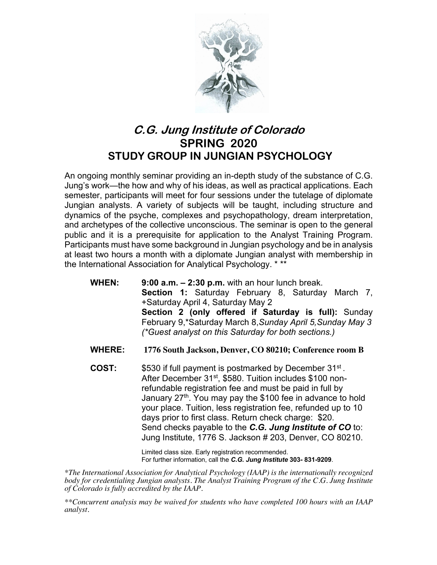

## **C.G. Jung Institute of Colorado SPRING 2020 STUDY GROUP IN JUNGIAN PSYCHOLOGY**

An ongoing monthly seminar providing an in-depth study of the substance of C.G. Jung's work—the how and why of his ideas, as well as practical applications. Each semester, participants will meet for four sessions under the tutelage of diplomate Jungian analysts. A variety of subjects will be taught, including structure and dynamics of the psyche, complexes and psychopathology, dream interpretation, and archetypes of the collective unconscious. The seminar is open to the general public and it is a prerequisite for application to the Analyst Training Program. Participants must have some background in Jungian psychology and be in analysis at least two hours a month with a diplomate Jungian analyst with membership in the International Association for Analytical Psychology. \* \*\*

- **WHEN: 9:00 a.m. – 2:30 p.m.** with an hour lunch break. **Section 1:** Saturday February 8, Saturday March 7, +Saturday April 4, Saturday May 2 **Section 2 (only offered if Saturday is full):** Sunday February 9,\*Saturday March 8,*Sunday April 5,Sunday May 3 (\*Guest analyst on this Saturday for both sections.)*
- **WHERE: 1776 South Jackson, Denver, CO 80210; Conference room B**
- **COST:** \$530 if full payment is postmarked by December 31st . After December 31<sup>st</sup>, \$580. Tuition includes \$100 nonrefundable registration fee and must be paid in full by January  $27<sup>th</sup>$ . You may pay the \$100 fee in advance to hold your place. Tuition, less registration fee, refunded up to 10 days prior to first class. Return check charge: \$20. Send checks payable to the *C.G. Jung Institute of CO* to: Jung Institute, 1776 S. Jackson # 203, Denver, CO 80210.

Limited class size. Early registration recommended. For further information, call the *C.G. Jung Institute* **303- 831-9209**.

*\*The International Association for Analytical Psychology (IAAP) is the internationally recognized body for credentialing Jungian analysts. The Analyst Training Program of the C.G. Jung Institute of Colorado is fully accredited by the IAAP.* 

*\*\*Concurrent analysis may be waived for students who have completed 100 hours with an IAAP analyst.*